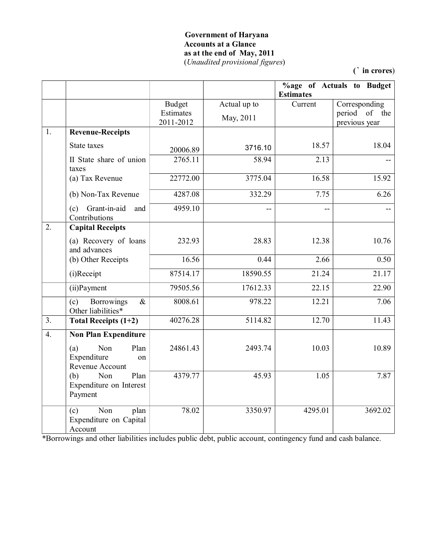#### **Government of Haryana Accounts at a Glance as at the end of May, 2011** (*Unaudited provisional figures*)

**(` in crores**)

|                  |                                                            |                                         |                           | %age of Actuals to Budget<br><b>Estimates</b> |                                                 |
|------------------|------------------------------------------------------------|-----------------------------------------|---------------------------|-----------------------------------------------|-------------------------------------------------|
|                  |                                                            | <b>Budget</b><br>Estimates<br>2011-2012 | Actual up to<br>May, 2011 | Current                                       | Corresponding<br>period of the<br>previous year |
| 1.               | <b>Revenue-Receipts</b>                                    |                                         |                           |                                               |                                                 |
|                  | State taxes                                                | 20006.89                                | 3716.10                   | 18.57                                         | 18.04                                           |
|                  | II State share of union<br>taxes                           | 2765.11                                 | 58.94                     | 2.13                                          |                                                 |
|                  | (a) Tax Revenue                                            | 22772.00                                | 3775.04                   | 16.58                                         | 15.92                                           |
|                  | (b) Non-Tax Revenue                                        | 4287.08                                 | 332.29                    | 7.75                                          | 6.26                                            |
|                  | Grant-in-aid<br>(c)<br>and<br>Contributions                | 4959.10                                 |                           |                                               |                                                 |
| 2.               | <b>Capital Receipts</b>                                    |                                         |                           |                                               |                                                 |
|                  | (a) Recovery of loans<br>and advances                      | 232.93                                  | 28.83                     | 12.38                                         | 10.76                                           |
|                  | (b) Other Receipts                                         | 16.56                                   | 0.44                      | 2.66                                          | 0.50                                            |
|                  | (i)Receipt                                                 | 87514.17                                | 18590.55                  | 21.24                                         | 21.17                                           |
|                  | (ii) Payment                                               | 79505.56                                | 17612.33                  | 22.15                                         | 22.90                                           |
|                  | (c)<br><b>Borrowings</b><br>$\&$<br>Other liabilities*     | 8008.61                                 | 978.22                    | 12.21                                         | 7.06                                            |
| 3 <sub>1</sub>   | Total Receipts (1+2)                                       | 40276.28                                | 5114.82                   | 12.70                                         | 11.43                                           |
| $\overline{4}$ . | <b>Non Plan Expenditure</b>                                |                                         |                           |                                               |                                                 |
|                  | (a)<br>Non<br>Plan<br>Expenditure<br>on<br>Revenue Account | 24861.43                                | 2493.74                   | 10.03                                         | 10.89                                           |
|                  | (b)<br>Plan<br>Non<br>Expenditure on Interest<br>Payment   | 4379.77                                 | 45.93                     | 1.05                                          | 7.87                                            |
|                  | Non<br>(c)<br>plan<br>Expenditure on Capital<br>Account    | 78.02                                   | 3350.97                   | 4295.01                                       | 3692.02                                         |

\*Borrowings and other liabilities includes public debt, public account, contingency fund and cash balance.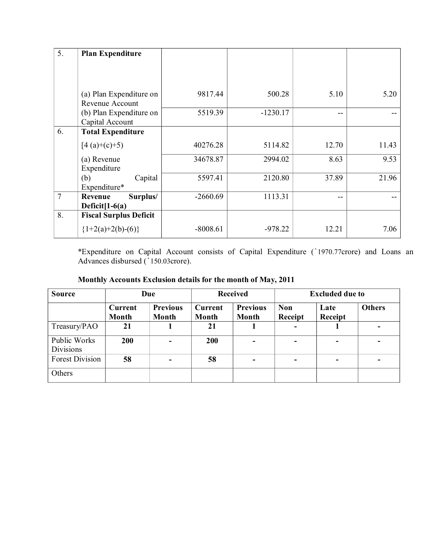| 5.             | <b>Plan Expenditure</b>                    |            |            |       |       |
|----------------|--------------------------------------------|------------|------------|-------|-------|
|                |                                            |            |            |       |       |
|                |                                            |            |            |       |       |
|                |                                            |            |            |       |       |
|                | (a) Plan Expenditure on<br>Revenue Account | 9817.44    | 500.28     | 5.10  | 5.20  |
|                | (b) Plan Expenditure on                    | 5519.39    | $-1230.17$ | $- -$ |       |
|                | Capital Account                            |            |            |       |       |
| 6.             | <b>Total Expenditure</b>                   |            |            |       |       |
|                | $[4(a)+(c)+5)$                             | 40276.28   | 5114.82    | 12.70 | 11.43 |
|                | (a) Revenue                                | 34678.87   | 2994.02    | 8.63  | 9.53  |
|                | Expenditure                                |            |            |       |       |
|                | (b)<br>Capital                             | 5597.41    | 2120.80    | 37.89 | 21.96 |
|                | Expenditure*                               |            |            |       |       |
| $\overline{7}$ | Surplus/<br>Revenue                        | $-2660.69$ | 1113.31    | $- -$ |       |
|                | Deficit $[1-6(a)]$                         |            |            |       |       |
| 8.             | <b>Fiscal Surplus Deficit</b>              |            |            |       |       |
|                | ${1+2(a)+2(b)-(6)}$                        | $-8008.61$ | $-978.22$  | 12.21 | 7.06  |

\*Expenditure on Capital Account consists of Capital Expenditure (1970.77crore) and Loans an Advances disbursed (`150.03crore).

| <b>Source</b>                    | Due                            |                          | <b>Received</b>         |                          | <b>Excluded due to</b>   |                 |               |
|----------------------------------|--------------------------------|--------------------------|-------------------------|--------------------------|--------------------------|-----------------|---------------|
|                                  | <b>Current</b><br><b>Month</b> | <b>Previous</b><br>Month | <b>Current</b><br>Month | <b>Previous</b><br>Month | <b>Non</b><br>Receipt    | Late<br>Receipt | <b>Others</b> |
| Treasury/PAO                     | 21                             |                          | 21                      |                          | $\overline{\phantom{0}}$ |                 |               |
| Public Works<br><b>Divisions</b> | 200                            |                          | 200                     | $\blacksquare$           | $\overline{\phantom{0}}$ | ۰               |               |
| <b>Forest Division</b>           | 58                             |                          | 58                      | ۰                        | $\overline{\phantom{0}}$ | ۰.              |               |
| Others                           |                                |                          |                         |                          |                          |                 |               |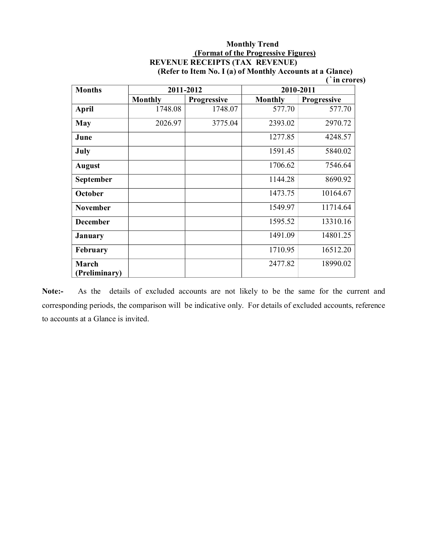# **Monthly Trend (Format of the Progressive Figures) REVENUE RECEIPTS (TAX REVENUE)**

| <b>Months</b>          |                | 2011-2012          | 2010-2011      |                    |  |
|------------------------|----------------|--------------------|----------------|--------------------|--|
|                        | <b>Monthly</b> | <b>Progressive</b> | <b>Monthly</b> | <b>Progressive</b> |  |
| <b>April</b>           | 1748.08        | 1748.07            | 577.70         | 577.70             |  |
| May                    | 2026.97        | 3775.04            | 2393.02        | 2970.72            |  |
| June                   |                |                    | 1277.85        | 4248.57            |  |
| July                   |                |                    | 1591.45        | 5840.02            |  |
| <b>August</b>          |                |                    | 1706.62        | 7546.64            |  |
| September              |                |                    | 1144.28        | 8690.92            |  |
| October                |                |                    | 1473.75        | 10164.67           |  |
| <b>November</b>        |                |                    | 1549.97        | 11714.64           |  |
| <b>December</b>        |                |                    | 1595.52        | 13310.16           |  |
| <b>January</b>         |                |                    | 1491.09        | 14801.25           |  |
| February               |                |                    | 1710.95        | 16512.20           |  |
| March<br>(Preliminary) |                |                    | 2477.82        | 18990.02           |  |

**(Refer to Item No. I (a) of Monthly Accounts at a Glance) (`in crores)**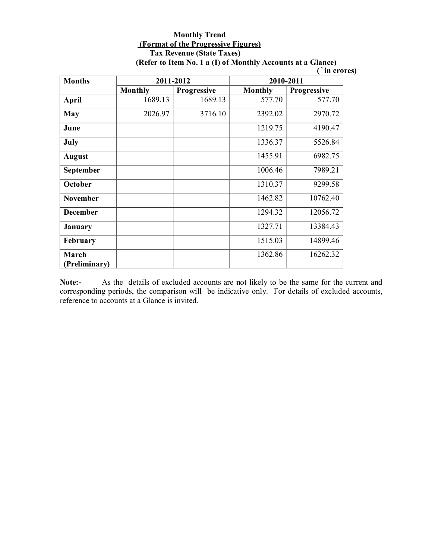#### **Monthly Trend (Format of the Progressive Figures) Tax Revenue (State Taxes) (Refer to Item No. 1 a (I) of Monthly Accounts at a Glance)**

|  | in crores) |
|--|------------|
|  |            |
|  |            |

| <b>Months</b>          |                | 2011-2012          | 2010-2011      |                    |  |
|------------------------|----------------|--------------------|----------------|--------------------|--|
|                        | <b>Monthly</b> | <b>Progressive</b> | <b>Monthly</b> | <b>Progressive</b> |  |
| <b>April</b>           | 1689.13        | 1689.13            | 577.70         | 577.70             |  |
| May                    | 2026.97        | 3716.10            | 2392.02        | 2970.72            |  |
| June                   |                |                    | 1219.75        | 4190.47            |  |
| July                   |                |                    | 1336.37        | 5526.84            |  |
| <b>August</b>          |                |                    | 1455.91        | 6982.75            |  |
| September              |                |                    | 1006.46        | 7989.21            |  |
| October                |                |                    | 1310.37        | 9299.58            |  |
| <b>November</b>        |                |                    | 1462.82        | 10762.40           |  |
| <b>December</b>        |                |                    | 1294.32        | 12056.72           |  |
| January                |                |                    | 1327.71        | 13384.43           |  |
| February               |                |                    | 1515.03        | 14899.46           |  |
| March<br>(Preliminary) |                |                    | 1362.86        | 16262.32           |  |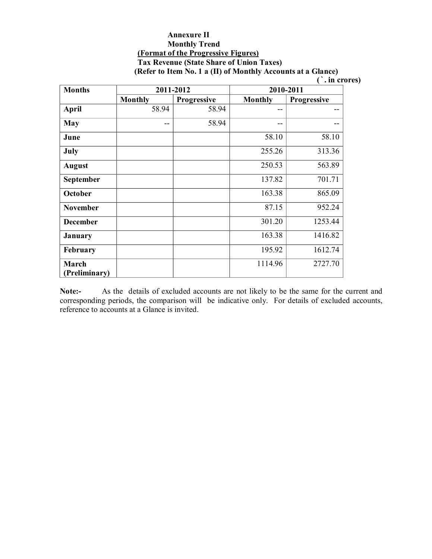#### **Annexure II Monthly Trend (Format of the Progressive Figures) Tax Revenue (State Share of Union Taxes) (Refer to Item No. 1 a (II) of Monthly Accounts at a Glance)**

**(`. in crores)** 

| <b>Months</b>          |                | 2011-2012          | 2010-2011      |             |  |
|------------------------|----------------|--------------------|----------------|-------------|--|
|                        | <b>Monthly</b> | <b>Progressive</b> | <b>Monthly</b> | Progressive |  |
| <b>April</b>           | 58.94          | 58.94              | --             |             |  |
| <b>May</b>             | --             | 58.94              | --             |             |  |
| June                   |                |                    | 58.10          | 58.10       |  |
| July                   |                |                    | 255.26         | 313.36      |  |
| <b>August</b>          |                |                    | 250.53         | 563.89      |  |
| September              |                |                    | 137.82         | 701.71      |  |
| October                |                |                    | 163.38         | 865.09      |  |
| <b>November</b>        |                |                    | 87.15          | 952.24      |  |
| <b>December</b>        |                |                    | 301.20         | 1253.44     |  |
| January                |                |                    | 163.38         | 1416.82     |  |
| February               |                |                    | 195.92         | 1612.74     |  |
| March<br>(Preliminary) |                |                    | 1114.96        | 2727.70     |  |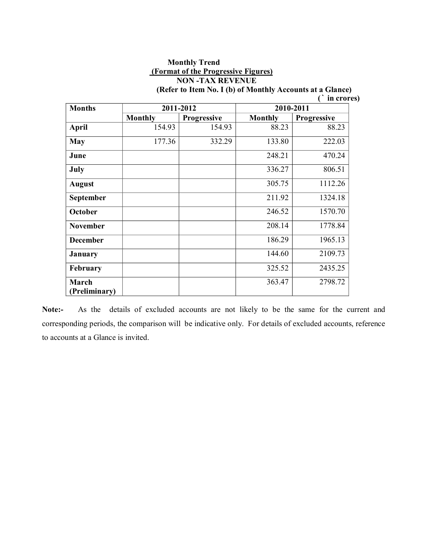## **Monthly Trend (Format of the Progressive Figures) NON -TAX REVENUE**

| <b>Months</b>          |                | 2011-2012          | 2010-2011      |                    |  |
|------------------------|----------------|--------------------|----------------|--------------------|--|
|                        | <b>Monthly</b> | <b>Progressive</b> | <b>Monthly</b> | <b>Progressive</b> |  |
| <b>April</b>           | 154.93         | 154.93             | 88.23          | 88.23              |  |
| <b>May</b>             | 177.36         | 332.29             | 133.80         | 222.03             |  |
| June                   |                |                    | 248.21         | 470.24             |  |
| July                   |                |                    | 336.27         | 806.51             |  |
| <b>August</b>          |                |                    | 305.75         | 1112.26            |  |
| September              |                |                    | 211.92         | 1324.18            |  |
| October                |                |                    | 246.52         | 1570.70            |  |
| <b>November</b>        |                |                    | 208.14         | 1778.84            |  |
| <b>December</b>        |                |                    | 186.29         | 1965.13            |  |
| <b>January</b>         |                |                    | 144.60         | 2109.73            |  |
| February               |                |                    | 325.52         | 2435.25            |  |
| March<br>(Preliminary) |                |                    | 363.47         | 2798.72            |  |

**(Refer to Item No. I (b) of Monthly Accounts at a Glance) (` in crores)**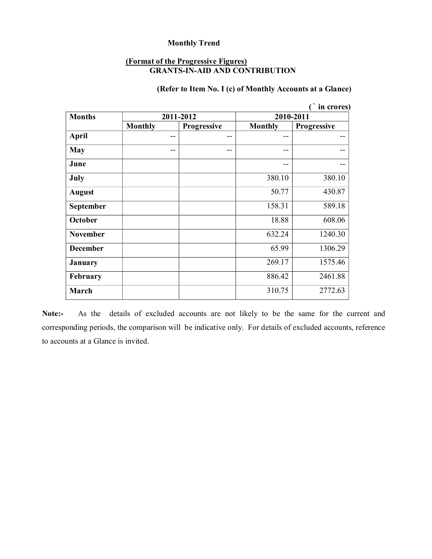#### **(Format of the Progressive Figures) GRANTS-IN-AID AND CONTRIBUTION**

### **(Refer to Item No. I (c) of Monthly Accounts at a Glance)**

|                 |                |             |                | in crores)         |  |
|-----------------|----------------|-------------|----------------|--------------------|--|
| <b>Months</b>   |                | 2011-2012   | 2010-2011      |                    |  |
|                 | <b>Monthly</b> | Progressive | <b>Monthly</b> | <b>Progressive</b> |  |
| April           | $- -$          | --          | --             | --                 |  |
| <b>May</b>      | --             | --          | --             | --                 |  |
| June            |                |             | --             | --                 |  |
| July            |                |             | 380.10         | 380.10             |  |
| <b>August</b>   |                |             | 50.77          | 430.87             |  |
| September       |                |             | 158.31         | 589.18             |  |
| October         |                |             | 18.88          | 608.06             |  |
| <b>November</b> |                |             | 632.24         | 1240.30            |  |
| <b>December</b> |                |             | 65.99          | 1306.29            |  |
| <b>January</b>  |                |             | 269.17         | 1575.46            |  |
| February        |                |             | 886.42         | 2461.88            |  |
| March           |                |             | 310.75         | 2772.63            |  |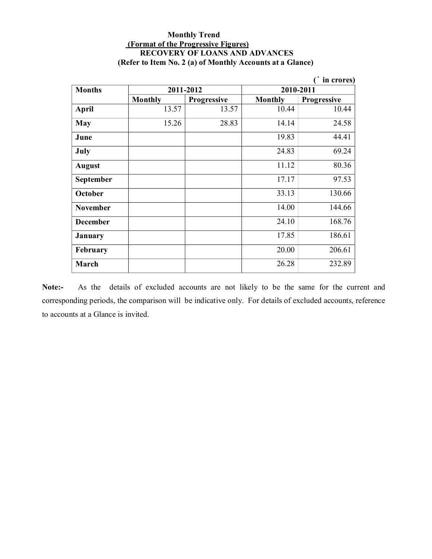#### **Monthly Trend (Format of the Progressive Figures) RECOVERY OF LOANS AND ADVANCES (Refer to Item No. 2 (a) of Monthly Accounts at a Glance)**

|                  |                |             |                | in crores)  |  |
|------------------|----------------|-------------|----------------|-------------|--|
| <b>Months</b>    |                | 2011-2012   | 2010-2011      |             |  |
|                  | <b>Monthly</b> | Progressive | <b>Monthly</b> | Progressive |  |
| April            | 13.57          | 13.57       | 10.44          | 10.44       |  |
| May              | 15.26          | 28.83       | 14.14          | 24.58       |  |
| June             |                |             | 19.83          | 44.41       |  |
| July             |                |             | 24.83          | 69.24       |  |
| <b>August</b>    |                |             | 11.12          | 80.36       |  |
| <b>September</b> |                |             | 17.17          | 97.53       |  |
| October          |                |             | 33.13          | 130.66      |  |
| <b>November</b>  |                |             | 14.00          | 144.66      |  |
| <b>December</b>  |                |             | 24.10          | 168.76      |  |
| January          |                |             | 17.85          | 186.61      |  |
| <b>February</b>  |                |             | 20.00          | 206.61      |  |
| March            |                |             | 26.28          | 232.89      |  |

Note:- As the details of excluded accounts are not likely to be the same for the current and corresponding periods, the comparison will be indicative only. For details of excluded accounts, reference to accounts at a Glance is invited.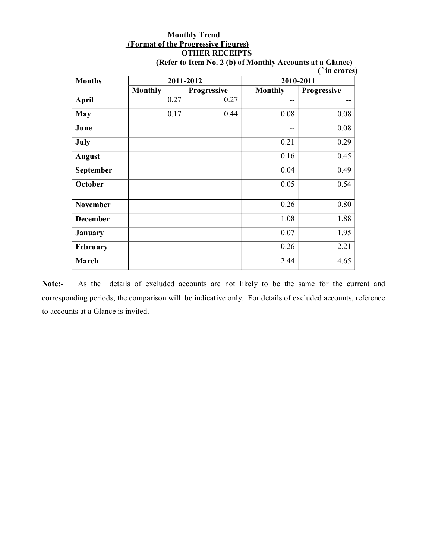### **Monthly Trend (Format of the Progressive Figures) OTHER RECEIPTS**

| <b>Months</b>   |                | 2011-2012          | 2010-2011      |             |  |
|-----------------|----------------|--------------------|----------------|-------------|--|
|                 | <b>Monthly</b> | <b>Progressive</b> | <b>Monthly</b> | Progressive |  |
| <b>April</b>    | 0.27           | 0.27               | --             |             |  |
| May             | 0.17           | 0.44               | 0.08           | 0.08        |  |
| June            |                |                    | --             | 0.08        |  |
| July            |                |                    | 0.21           | 0.29        |  |
| <b>August</b>   |                |                    | 0.16           | 0.45        |  |
| September       |                |                    | 0.04           | 0.49        |  |
| <b>October</b>  |                |                    | 0.05           | 0.54        |  |
| <b>November</b> |                |                    | 0.26           | 0.80        |  |
| <b>December</b> |                |                    | 1.08           | 1.88        |  |
| <b>January</b>  |                |                    | 0.07           | 1.95        |  |
| February        |                |                    | 0.26           | 2.21        |  |
| March           |                |                    | 2.44           | 4.65        |  |

**(Refer to Item No. 2 (b) of Monthly Accounts at a Glance) (`in crores)** 

Note:- As the details of excluded accounts are not likely to be the same for the current and corresponding periods, the comparison will be indicative only. For details of excluded accounts, reference to accounts at a Glance is invited.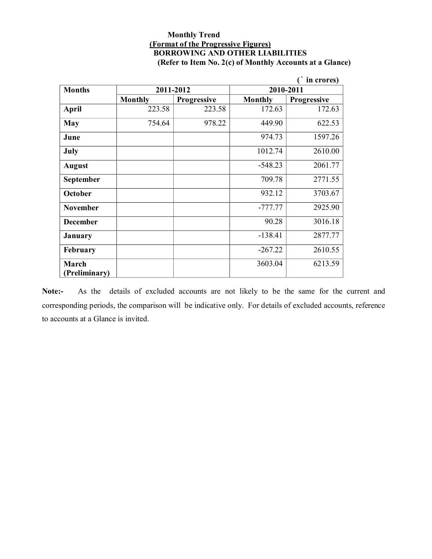#### **Monthly Trend (Format of the Progressive Figures) BORROWING AND OTHER LIABILITIES (Refer to Item No. 2(c) of Monthly Accounts at a Glance)**

|                 |                |                    |                | in crores)         |
|-----------------|----------------|--------------------|----------------|--------------------|
| <b>Months</b>   |                | 2011-2012          | 2010-2011      |                    |
|                 | <b>Monthly</b> | <b>Progressive</b> | <b>Monthly</b> | <b>Progressive</b> |
| <b>April</b>    | 223.58         | 223.58             | 172.63         | 172.63             |
| <b>May</b>      | 754.64         | 978.22             | 449.90         | 622.53             |
| June            |                |                    | 974.73         | 1597.26            |
| July            |                |                    | 1012.74        | 2610.00            |
| <b>August</b>   |                |                    | $-548.23$      | 2061.77            |
| September       |                |                    | 709.78         | 2771.55            |
| October         |                |                    | 932.12         | 3703.67            |
| <b>November</b> |                |                    | $-777.77$      | 2925.90            |
| <b>December</b> |                |                    | 90.28          | 3016.18            |
| January         |                |                    | $-138.41$      | 2877.77            |
| February        |                |                    | $-267.22$      | 2610.55            |
| <b>March</b>    |                |                    | 3603.04        | 6213.59            |
| (Preliminary)   |                |                    |                |                    |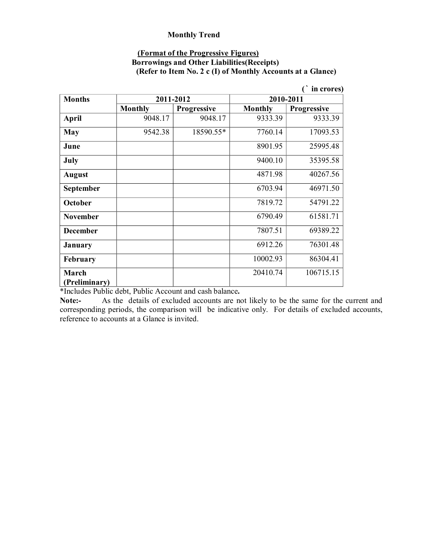#### **(Format of the Progressive Figures)**

#### **Borrowings and Other Liabilities(Receipts) (Refer to Item No. 2 c (I) of Monthly Accounts at a Glance)**

|                 |                |                    |                | in crores)         |
|-----------------|----------------|--------------------|----------------|--------------------|
| <b>Months</b>   |                | 2011-2012          |                | 2010-2011          |
|                 | <b>Monthly</b> | <b>Progressive</b> | <b>Monthly</b> | <b>Progressive</b> |
| <b>April</b>    | 9048.17        | 9048.17            | 9333.39        | 9333.39            |
| <b>May</b>      | 9542.38        | 18590.55*          | 7760.14        | 17093.53           |
| June            |                |                    | 8901.95        | 25995.48           |
| July            |                |                    | 9400.10        | 35395.58           |
| <b>August</b>   |                |                    | 4871.98        | 40267.56           |
| September       |                |                    | 6703.94        | 46971.50           |
| October         |                |                    | 7819.72        | 54791.22           |
| <b>November</b> |                |                    | 6790.49        | 61581.71           |
| <b>December</b> |                |                    | 7807.51        | 69389.22           |
| January         |                |                    | 6912.26        | 76301.48           |
| February        |                |                    | 10002.93       | 86304.41           |
| March           |                |                    | 20410.74       | 106715.15          |
| (Preliminary)   |                |                    |                |                    |

\*Includes Public debt, Public Account and cash balance**.**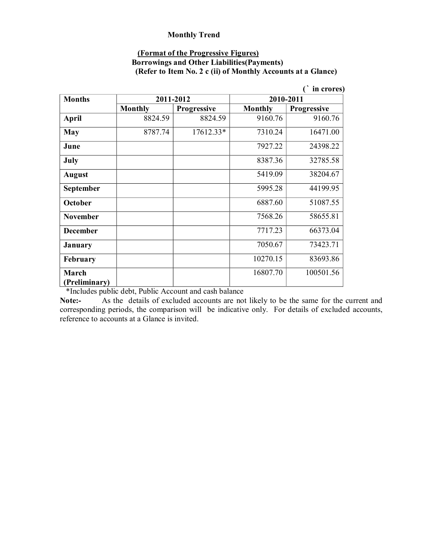#### **(Format of the Progressive Figures)**

### **Borrowings and Other Liabilities(Payments) (Refer to Item No. 2 c (ii) of Monthly Accounts at a Glance)**

|                       |                |                    |                | in crores)  |
|-----------------------|----------------|--------------------|----------------|-------------|
| <b>Months</b>         |                | 2011-2012          |                | 2010-2011   |
|                       | <b>Monthly</b> | <b>Progressive</b> | <b>Monthly</b> | Progressive |
| <b>April</b>          | 8824.59        | 8824.59            | 9160.76        | 9160.76     |
| <b>May</b>            | 8787.74        | 17612.33*          | 7310.24        | 16471.00    |
| June                  |                |                    | 7927.22        | 24398.22    |
| July                  |                |                    | 8387.36        | 32785.58    |
| <b>August</b>         |                |                    | 5419.09        | 38204.67    |
| September             |                |                    | 5995.28        | 44199.95    |
| October               |                |                    | 6887.60        | 51087.55    |
| <b>November</b>       |                |                    | 7568.26        | 58655.81    |
| <b>December</b>       |                |                    | 7717.23        | 66373.04    |
| January               |                |                    | 7050.67        | 73423.71    |
| February              |                |                    | 10270.15       | 83693.86    |
| March                 |                |                    | 16807.70       | 100501.56   |
| (Preliminary)<br>1.11 |                | 1.1.1.1.1          |                |             |

\*Includes public debt, Public Account and cash balance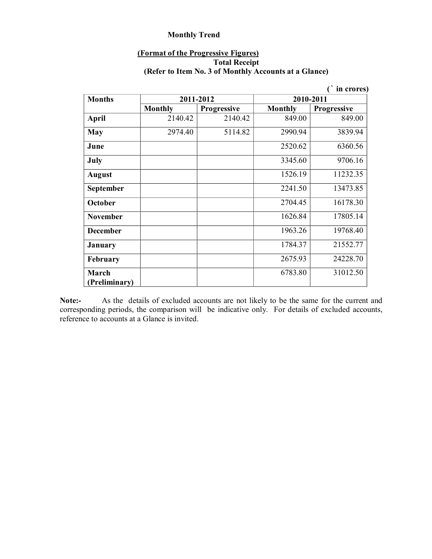### **(Format of the Progressive Figures) Total Receipt (Refer to Item No. 3 of Monthly Accounts at a Glance)**

|                 |                |                    |                | in crores)  |
|-----------------|----------------|--------------------|----------------|-------------|
| <b>Months</b>   |                | 2011-2012          | 2010-2011      |             |
|                 | <b>Monthly</b> | <b>Progressive</b> | <b>Monthly</b> | Progressive |
| <b>April</b>    | 2140.42        | 2140.42            | 849.00         | 849.00      |
| <b>May</b>      | 2974.40        | 5114.82            | 2990.94        | 3839.94     |
| June            |                |                    | 2520.62        | 6360.56     |
| July            |                |                    | 3345.60        | 9706.16     |
| <b>August</b>   |                |                    | 1526.19        | 11232.35    |
| September       |                |                    | 2241.50        | 13473.85    |
| October         |                |                    | 2704.45        | 16178.30    |
| <b>November</b> |                |                    | 1626.84        | 17805.14    |
| <b>December</b> |                |                    | 1963.26        | 19768.40    |
| <b>January</b>  |                |                    | 1784.37        | 21552.77    |
| February        |                |                    | 2675.93        | 24228.70    |
| March           |                |                    | 6783.80        | 31012.50    |
| (Preliminary)   |                |                    |                |             |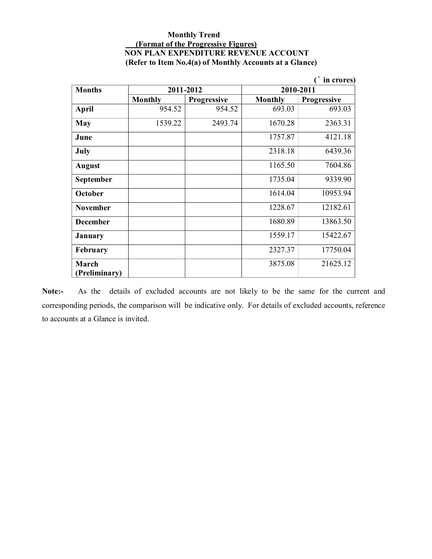#### **Monthly Trend (Format of the Progressive Figures) NON PLAN EXPENDITURE REVENUE ACCOUNT (Refer to Item No.4(a) of Monthly Accounts at a Glance)**

| in crores)             |                |                    |                |             |
|------------------------|----------------|--------------------|----------------|-------------|
| <b>Months</b>          |                | 2011-2012          | 2010-2011      |             |
|                        | <b>Monthly</b> | <b>Progressive</b> | <b>Monthly</b> | Progressive |
| April                  | 954.52         | 954.52             | 693.03         | 693.03      |
| May                    | 1539.22        | 2493.74            | 1670.28        | 2363.31     |
| June                   |                |                    | 1757.87        | 4121.18     |
| July                   |                |                    | 2318.18        | 6439.36     |
| <b>August</b>          |                |                    | 1165.50        | 7604.86     |
| September              |                |                    | 1735.04        | 9339.90     |
| October                |                |                    | 1614.04        | 10953.94    |
| <b>November</b>        |                |                    | 1228.67        | 12182.61    |
| <b>December</b>        |                |                    | 1680.89        | 13863.50    |
| January                |                |                    | 1559.17        | 15422.67    |
| February               |                |                    | 2327.37        | 17750.04    |
| March<br>(Preliminary) |                |                    | 3875.08        | 21625.12    |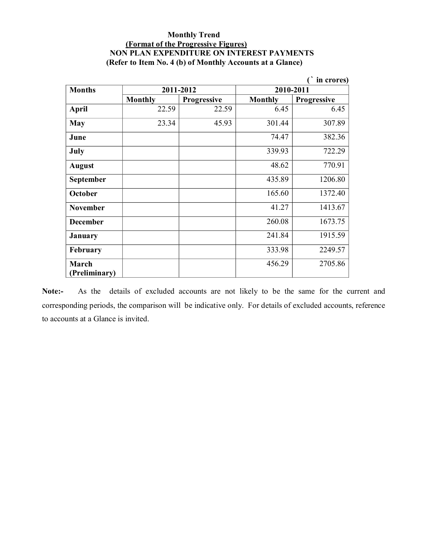#### **Monthly Trend (Format of the Progressive Figures) NON PLAN EXPENDITURE ON INTEREST PAYMENTS (Refer to Item No. 4 (b) of Monthly Accounts at a Glance)**

| in crores)             |                |                    |                |                    |
|------------------------|----------------|--------------------|----------------|--------------------|
| <b>Months</b>          |                | 2011-2012          | 2010-2011      |                    |
|                        | <b>Monthly</b> | <b>Progressive</b> | <b>Monthly</b> | <b>Progressive</b> |
| <b>April</b>           | 22.59          | 22.59              | 6.45           | 6.45               |
| <b>May</b>             | 23.34          | 45.93              | 301.44         | 307.89             |
| June                   |                |                    | 74.47          | 382.36             |
| July                   |                |                    | 339.93         | 722.29             |
| <b>August</b>          |                |                    | 48.62          | 770.91             |
| <b>September</b>       |                |                    | 435.89         | 1206.80            |
| October                |                |                    | 165.60         | 1372.40            |
| <b>November</b>        |                |                    | 41.27          | 1413.67            |
| <b>December</b>        |                |                    | 260.08         | 1673.75            |
| January                |                |                    | 241.84         | 1915.59            |
| February               |                |                    | 333.98         | 2249.57            |
| March<br>(Preliminary) |                |                    | 456.29         | 2705.86            |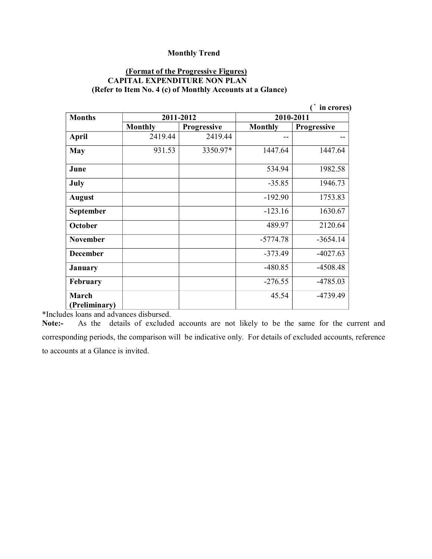#### **(Format of the Progressive Figures) CAPITAL EXPENDITURE NON PLAN (Refer to Item No. 4 (c) of Monthly Accounts at a Glance)**

|                  |                |                    |                | in crores)         |
|------------------|----------------|--------------------|----------------|--------------------|
| <b>Months</b>    |                | 2011-2012          |                | 2010-2011          |
|                  | <b>Monthly</b> | <b>Progressive</b> | <b>Monthly</b> | <b>Progressive</b> |
| <b>April</b>     | 2419.44        | 2419.44            | --             |                    |
| <b>May</b>       | 931.53         | 3350.97*           | 1447.64        | 1447.64            |
| June             |                |                    | 534.94         | 1982.58            |
| July             |                |                    | $-35.85$       | 1946.73            |
| <b>August</b>    |                |                    | $-192.90$      | 1753.83            |
| <b>September</b> |                |                    | $-123.16$      | 1630.67            |
| <b>October</b>   |                |                    | 489.97         | 2120.64            |
| <b>November</b>  |                |                    | $-5774.78$     | $-3654.14$         |
| <b>December</b>  |                |                    | $-373.49$      | $-4027.63$         |
| <b>January</b>   |                |                    | $-480.85$      | $-4508.48$         |
| February         |                |                    | $-276.55$      | $-4785.03$         |
| March            |                |                    | 45.54          | -4739.49           |
| (Preliminary)    | $\cdots$       |                    |                |                    |

\*Includes loans and advances disbursed.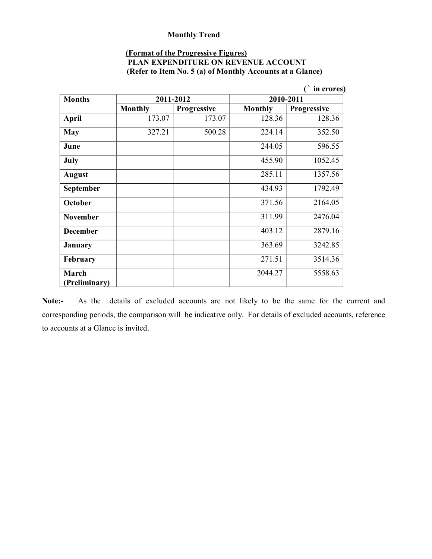### **(Format of the Progressive Figures)**

| <b>PLAN EXPENDITURE ON REVENUE ACCOUNT</b>                |  |  |
|-----------------------------------------------------------|--|--|
| (Refer to Item No. 5 (a) of Monthly Accounts at a Glance) |  |  |

|                        |                |                    |                | in crores)         |
|------------------------|----------------|--------------------|----------------|--------------------|
| <b>Months</b>          |                | 2011-2012          | 2010-2011      |                    |
|                        | <b>Monthly</b> | <b>Progressive</b> | <b>Monthly</b> | <b>Progressive</b> |
| April                  | 173.07         | 173.07             | 128.36         | 128.36             |
| <b>May</b>             | 327.21         | 500.28             | 224.14         | 352.50             |
| June                   |                |                    | 244.05         | 596.55             |
| July                   |                |                    | 455.90         | 1052.45            |
| <b>August</b>          |                |                    | 285.11         | 1357.56            |
| September              |                |                    | 434.93         | 1792.49            |
| October                |                |                    | 371.56         | 2164.05            |
| <b>November</b>        |                |                    | 311.99         | 2476.04            |
| <b>December</b>        |                |                    | 403.12         | 2879.16            |
| January                |                |                    | 363.69         | 3242.85            |
| February               |                |                    | 271.51         | 3514.36            |
| March<br>(Preliminary) |                |                    | 2044.27        | 5558.63            |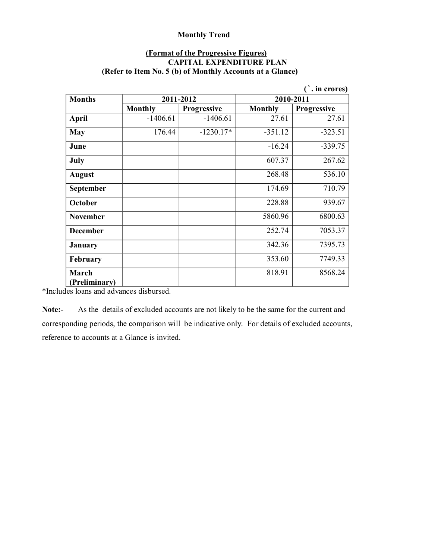#### **(Format of the Progressive Figures) CAPITAL EXPENDITURE PLAN (Refer to Item No. 5 (b) of Monthly Accounts at a Glance)**

|                  |                |                    |                | in crores)         |
|------------------|----------------|--------------------|----------------|--------------------|
| <b>Months</b>    |                | 2011-2012          | 2010-2011      |                    |
|                  | <b>Monthly</b> | <b>Progressive</b> | <b>Monthly</b> | <b>Progressive</b> |
| April            | $-1406.61$     | $-1406.61$         | 27.61          | 27.61              |
| <b>May</b>       | 176.44         | $-1230.17*$        | $-351.12$      | $-323.51$          |
| June             |                |                    | $-16.24$       | $-339.75$          |
| July             |                |                    | 607.37         | 267.62             |
| <b>August</b>    |                |                    | 268.48         | 536.10             |
| <b>September</b> |                |                    | 174.69         | 710.79             |
| <b>October</b>   |                |                    | 228.88         | 939.67             |
| <b>November</b>  |                |                    | 5860.96        | 6800.63            |
| <b>December</b>  |                |                    | 252.74         | 7053.37            |
| January          |                |                    | 342.36         | 7395.73            |
| <b>February</b>  |                |                    | 353.60         | 7749.33            |
| March            |                |                    | 818.91         | 8568.24            |
| (Preliminary)    |                |                    |                |                    |

\*Includes loans and advances disbursed.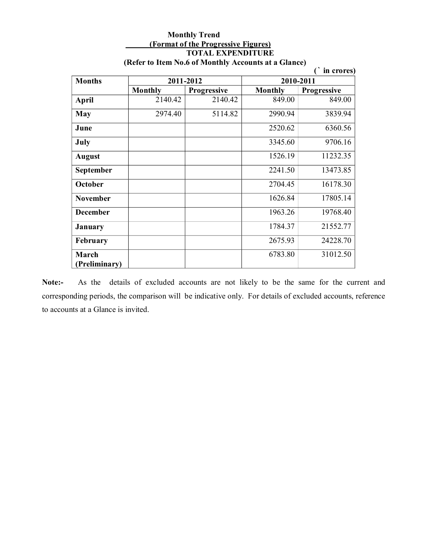#### **Monthly Trend (Format of the Progressive Figures) TOTAL EXPENDITURE (Refer to Item No.6 of Monthly Accounts at a Glance)**

| in crores)      |                |                    |                |                    |
|-----------------|----------------|--------------------|----------------|--------------------|
| <b>Months</b>   |                | 2011-2012          | 2010-2011      |                    |
|                 | <b>Monthly</b> | <b>Progressive</b> | <b>Monthly</b> | <b>Progressive</b> |
| April           | 2140.42        | 2140.42            | 849.00         | 849.00             |
| May             | 2974.40        | 5114.82            | 2990.94        | 3839.94            |
| June            |                |                    | 2520.62        | 6360.56            |
| July            |                |                    | 3345.60        | 9706.16            |
| <b>August</b>   |                |                    | 1526.19        | 11232.35           |
| September       |                |                    | 2241.50        | 13473.85           |
| October         |                |                    | 2704.45        | 16178.30           |
| <b>November</b> |                |                    | 1626.84        | 17805.14           |
| <b>December</b> |                |                    | 1963.26        | 19768.40           |
| January         |                |                    | 1784.37        | 21552.77           |
| <b>February</b> |                |                    | 2675.93        | 24228.70           |
| March           |                |                    | 6783.80        | 31012.50           |
| (Preliminary)   |                |                    |                |                    |

Note:- As the details of excluded accounts are not likely to be the same for the current and corresponding periods, the comparison will be indicative only. For details of excluded accounts, reference to accounts at a Glance is invited.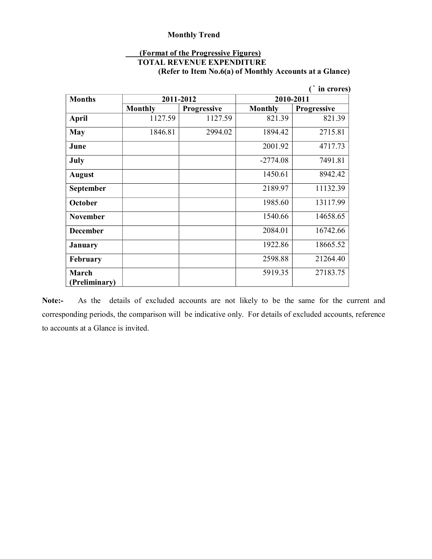#### **(Format of the Progressive Figures)**

#### **TOTAL REVENUE EXPENDITURE**

**(Refer to Item No.6(a) of Monthly Accounts at a Glance)**

| in crores)       |                |                    |                |                    |
|------------------|----------------|--------------------|----------------|--------------------|
| <b>Months</b>    |                | 2011-2012          | 2010-2011      |                    |
|                  | <b>Monthly</b> | <b>Progressive</b> | <b>Monthly</b> | <b>Progressive</b> |
| <b>April</b>     | 1127.59        | 1127.59            | 821.39         | 821.39             |
| <b>May</b>       | 1846.81        | 2994.02            | 1894.42        | 2715.81            |
| June             |                |                    | 2001.92        | 4717.73            |
| July             |                |                    | $-2774.08$     | 7491.81            |
| <b>August</b>    |                |                    | 1450.61        | 8942.42            |
| <b>September</b> |                |                    | 2189.97        | 11132.39           |
| October          |                |                    | 1985.60        | 13117.99           |
| <b>November</b>  |                |                    | 1540.66        | 14658.65           |
| <b>December</b>  |                |                    | 2084.01        | 16742.66           |
| <b>January</b>   |                |                    | 1922.86        | 18665.52           |
| February         |                |                    | 2598.88        | 21264.40           |
| March            |                |                    | 5919.35        | 27183.75           |
| (Preliminary)    |                |                    |                |                    |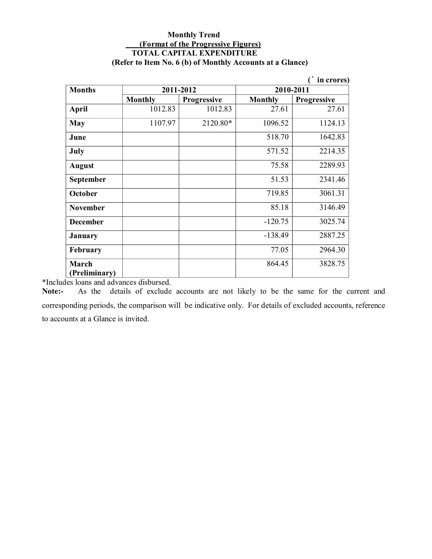#### **Monthly Trend (Format of the Progressive Figures) TOTAL CAPITAL EXPENDITURE (Refer to Item No. 6 (b) of Monthly Accounts at a Glance)**

| in crores)             |                |                    |                |                    |  |
|------------------------|----------------|--------------------|----------------|--------------------|--|
| <b>Months</b>          | 2011-2012      |                    | 2010-2011      |                    |  |
|                        | <b>Monthly</b> | <b>Progressive</b> | <b>Monthly</b> | <b>Progressive</b> |  |
| <b>April</b>           | 1012.83        | 1012.83            | 27.61          | 27.61              |  |
| <b>May</b>             | 1107.97        | 2120.80*           | 1096.52        | 1124.13            |  |
| June                   |                |                    | 518.70         | 1642.83            |  |
| July                   |                |                    | 571.52         | 2214.35            |  |
| <b>August</b>          |                |                    | 75.58          | 2289.93            |  |
| September              |                |                    | 51.53          | 2341.46            |  |
| October                |                |                    | 719.85         | 3061.31            |  |
| <b>November</b>        |                |                    | 85.18          | 3146.49            |  |
| <b>December</b>        |                |                    | $-120.75$      | 3025.74            |  |
| <b>January</b>         |                |                    | $-138.49$      | 2887.25            |  |
| February               |                |                    | 77.05          | 2964.30            |  |
| March<br>(Preliminary) |                |                    | 864.45         | 3828.75            |  |

\*Includes loans and advances disbursed.<br>**Note:** As the details of exclude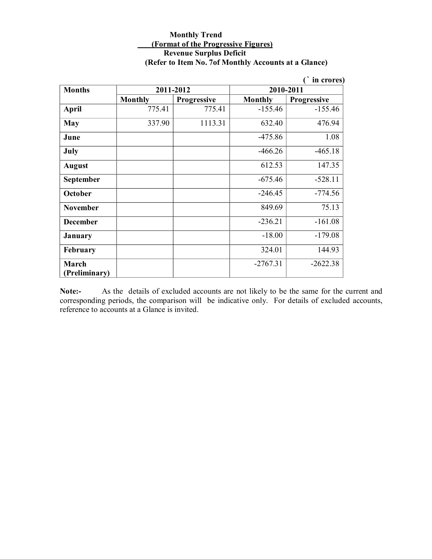#### **Monthly Trend (Format of the Progressive Figures) Revenue Surplus Deficit (Refer to Item No. 7of Monthly Accounts at a Glance)**

|                 |                |                    |                | in crores)         |
|-----------------|----------------|--------------------|----------------|--------------------|
| <b>Months</b>   | 2011-2012      |                    | 2010-2011      |                    |
|                 | <b>Monthly</b> | <b>Progressive</b> | <b>Monthly</b> | <b>Progressive</b> |
| <b>April</b>    | 775.41         | 775.41             | $-155.46$      | $-155.46$          |
| <b>May</b>      | 337.90         | 1113.31            | 632.40         | 476.94             |
| June            |                |                    | $-475.86$      | 1.08               |
| July            |                |                    | $-466.26$      | $-465.18$          |
| <b>August</b>   |                |                    | 612.53         | 147.35             |
| September       |                |                    | $-675.46$      | $-528.11$          |
| October         |                |                    | $-246.45$      | $-774.56$          |
| <b>November</b> |                |                    | 849.69         | 75.13              |
| <b>December</b> |                |                    | $-236.21$      | $-161.08$          |
| <b>January</b>  |                |                    | $-18.00$       | $-179.08$          |
| February        |                |                    | 324.01         | 144.93             |
| March           |                |                    | $-2767.31$     | $-2622.38$         |
| (Preliminary)   |                |                    |                |                    |